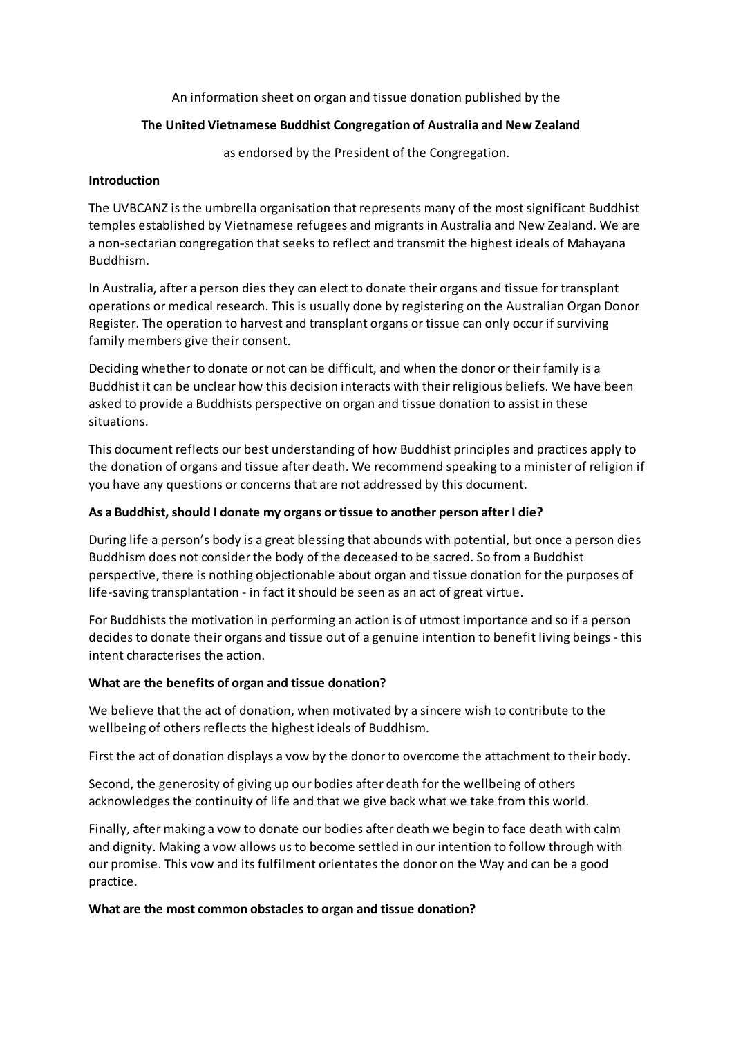An information sheet on organ and tissue donation published by the

## **The United Vietnamese Buddhist Congregation of Australia and New Zealand**

as endorsed by the President of the Congregation.

### **Introduction**

The UVBCANZ is the umbrella organisation that represents many of the most significant Buddhist temples established by Vietnamese refugees and migrants in Australia and New Zealand. We are a non-sectarian congregation that seeks to reflect and transmit the highest ideals of Mahayana Buddhism.

In Australia, after a person dies they can elect to donate their organs and tissue for transplant operations or medical research. This is usually done by registering on the Australian Organ Donor Register. The operation to harvest and transplant organs or tissue can only occur if surviving family members give their consent.

Deciding whether to donate or not can be difficult, and when the donor or their family is a Buddhist it can be unclear how this decision interacts with their religious beliefs. We have been asked to provide a Buddhists perspective on organ and tissue donation to assist in these situations.

This document reflects our best understanding of how Buddhist principles and practices apply to the donation of organs and tissue after death. We recommend speaking to a minister of religion if you have any questions or concerns that are not addressed by this document.

## **As a Buddhist, should I donate my organs or tissue to another person after I die?**

During life a person's body is a great blessing that abounds with potential, but once a person dies Buddhism does not consider the body of the deceased to be sacred. So from a Buddhist perspective, there is nothing objectionable about organ and tissue donation for the purposes of life-saving transplantation - in fact it should be seen as an act of great virtue.

For Buddhists the motivation in performing an action is of utmost importance and so if a person decides to donate their organs and tissue out of a genuine intention to benefit living beings - this intent characterises the action.

## **What are the benefits of organ and tissue donation?**

We believe that the act of donation, when motivated by a sincere wish to contribute to the wellbeing of others reflects the highest ideals of Buddhism.

First the act of donation displays a vow by the donor to overcome the attachment to their body.

Second, the generosity of giving up our bodies after death for the wellbeing of others acknowledges the continuity of life and that we give back what we take from this world.

Finally, after making a vow to donate our bodies after death we begin to face death with calm and dignity. Making a vow allows us to become settled in our intention to follow through with our promise. This vow and its fulfilment orientates the donor on the Way and can be a good practice.

#### **What are the most common obstacles to organ and tissue donation?**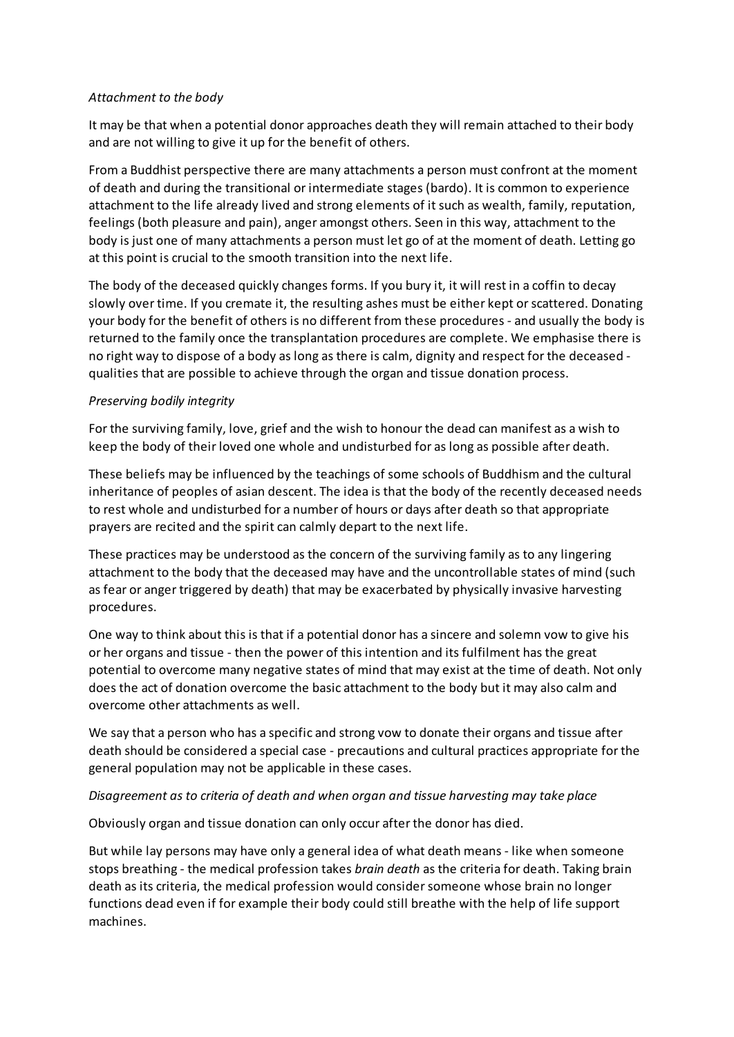### *Attachment to the body*

It may be that when a potential donor approaches death they will remain attached to their body and are not willing to give it up for the benefit of others.

From a Buddhist perspective there are many attachments a person must confront at the moment of death and during the transitional or intermediate stages (bardo). It is common to experience attachment to the life already lived and strong elements of it such as wealth, family, reputation, feelings (both pleasure and pain), anger amongst others. Seen in this way, attachment to the body is just one of many attachments a person must let go of at the moment of death. Letting go at this point is crucial to the smooth transition into the next life.

The body of the deceased quickly changes forms. If you bury it, it will rest in a coffin to decay slowly over time. If you cremate it, the resulting ashes must be either kept or scattered. Donating your body for the benefit of others is no different from these procedures - and usually the body is returned to the family once the transplantation procedures are complete. We emphasise there is no right way to dispose of a body as long as there is calm, dignity and respect for the deceased qualities that are possible to achieve through the organ and tissue donation process.

## *Preserving bodily integrity*

For the surviving family, love, grief and the wish to honour the dead can manifest as a wish to keep the body of their loved one whole and undisturbed for as long as possible after death.

These beliefs may be influenced by the teachings of some schools of Buddhism and the cultural inheritance of peoples of asian descent. The idea is that the body of the recently deceased needs to rest whole and undisturbed for a number of hours or days after death so that appropriate prayers are recited and the spirit can calmly depart to the next life.

These practices may be understood as the concern of the surviving family as to any lingering attachment to the body that the deceased may have and the uncontrollable states of mind (such as fear or anger triggered by death) that may be exacerbated by physically invasive harvesting procedures.

One way to think about this is that if a potential donor has a sincere and solemn vow to give his or her organs and tissue - then the power of this intention and its fulfilment has the great potential to overcome many negative states of mind that may exist at the time of death. Not only does the act of donation overcome the basic attachment to the body but it may also calm and overcome other attachments as well.

We say that a person who has a specific and strong vow to donate their organs and tissue after death should be considered a special case - precautions and cultural practices appropriate for the general population may not be applicable in these cases.

## *Disagreement as to criteria of death and when organ and tissue harvesting may take place*

Obviously organ and tissue donation can only occur after the donor has died.

But while lay persons may have only a general idea of what death means - like when someone stops breathing - the medical profession takes *brain death* as the criteria for death. Taking brain death as its criteria, the medical profession would considersomeone whose brain no longer functions dead even if for example their body could still breathe with the help of life support machines.